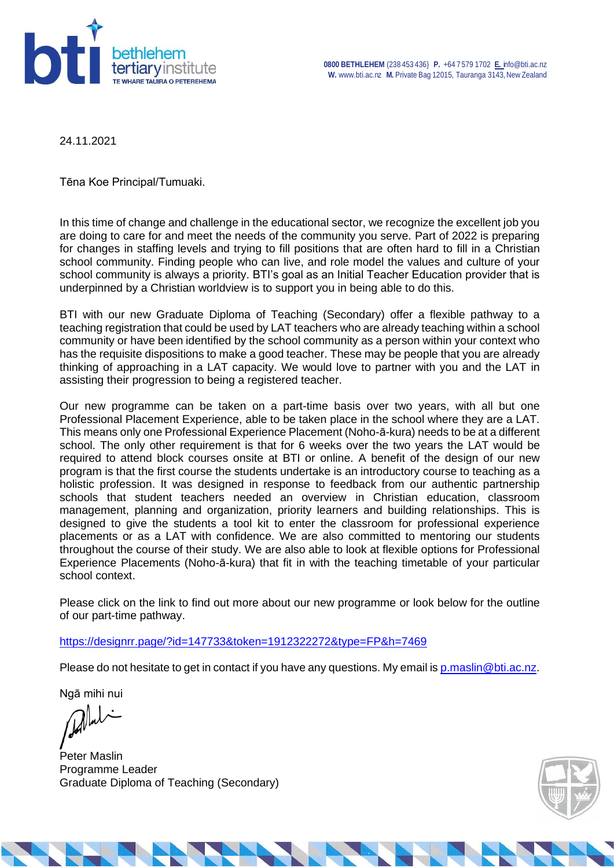

24.11.2021

Tēna Koe Principal/Tumuaki.

In this time of change and challenge in the educational sector, we recognize the excellent job you are doing to care for and meet the needs of the community you serve. Part of 2022 is preparing for changes in staffing levels and trying to fill positions that are often hard to fill in a Christian school community. Finding people who can live, and role model the values and culture of your school community is always a priority. BTI's goal as an Initial Teacher Education provider that is underpinned by a Christian worldview is to support you in being able to do this.

BTI with our new Graduate Diploma of Teaching (Secondary) offer a flexible pathway to a teaching registration that could be used by LAT teachers who are already teaching within a school community or have been identified by the school community as a person within your context who has the requisite dispositions to make a good teacher. These may be people that you are already thinking of approaching in a LAT capacity. We would love to partner with you and the LAT in assisting their progression to being a registered teacher.

Our new programme can be taken on a part-time basis over two years, with all but one Professional Placement Experience, able to be taken place in the school where they are a LAT. This means only one Professional Experience Placement (Noho-ā-kura) needs to be at a different school. The only other requirement is that for 6 weeks over the two years the LAT would be required to attend block courses onsite at BTI or online. A benefit of the design of our new program is that the first course the students undertake is an introductory course to teaching as a holistic profession. It was designed in response to feedback from our authentic partnership schools that student teachers needed an overview in Christian education, classroom management, planning and organization, priority learners and building relationships. This is designed to give the students a tool kit to enter the classroom for professional experience placements or as a LAT with confidence. We are also committed to mentoring our students throughout the course of their study. We are also able to look at flexible options for Professional Experience Placements (Noho-ā-kura) that fit in with the teaching timetable of your particular school context.

Please click on the link to find out more about our new programme or look below for the outline of our part-time pathway.

<https://designrr.page/?id=147733&token=1912322272&type=FP&h=7469>

Please do not hesitate to get in contact if you have any questions. My email is [p.maslin@bti.ac.nz.](mailto:p.maslin@bti.ac.nz)

Ngā mihi nui

Peter Maslin Programme Leader Graduate Diploma of Teaching (Secondary)